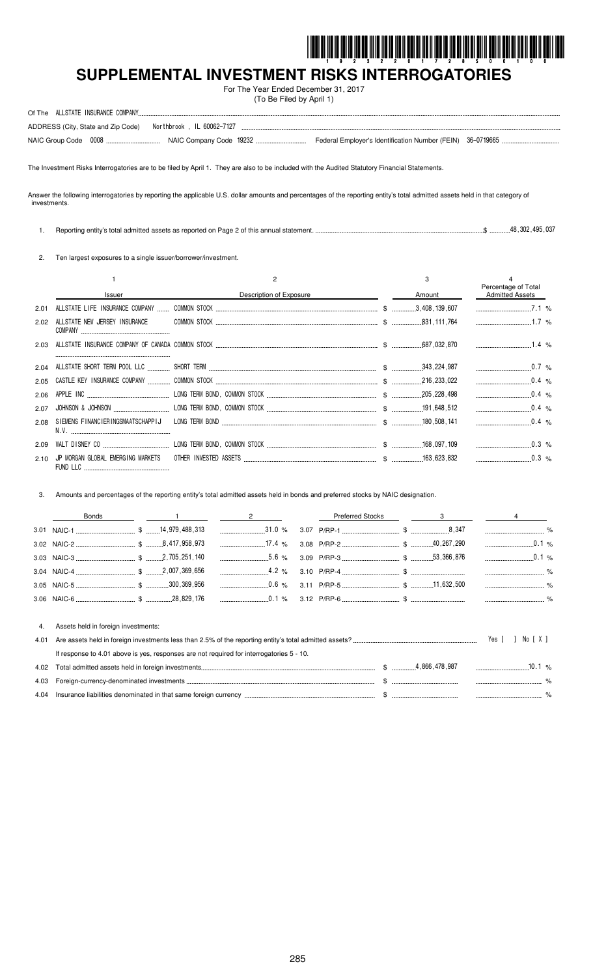

# **SUPPLEMENTAL INVESTMENT RISKS INTERROGATORIES**

For The Year Ended December 31, 2017 (To Be Filed by April 1)

|  | ADDRESS (City, State and Zip Code) Northbrook, IL 60062-7127 |  |  |
|--|--------------------------------------------------------------|--|--|
|  |                                                              |  |  |

The Investment Risks Interrogatories are to be filed by April 1. They are also to be included with the Audited Statutory Financial Statements.

Answer the following interrogatories by reporting the applicable U.S. dollar amounts and percentages of the reporting entity's total admitted assets held in that category of investments.

1. Reporting entity's total admitted assets as reported on Page 2 of this annual statement. \$ 48,302,495,037

2. Ten largest exposures to a single issuer/borrower/investment.

|      |                                               |                         | 3      |                                               |  |
|------|-----------------------------------------------|-------------------------|--------|-----------------------------------------------|--|
|      | <b>Issuer</b>                                 | Description of Exposure | Amount | Percentage of Total<br><b>Admitted Assets</b> |  |
| 2.01 |                                               |                         |        | 7.1%                                          |  |
| 2.02 |                                               |                         |        |                                               |  |
| 2.03 |                                               |                         |        |                                               |  |
|      |                                               |                         |        | $0.7\%$                                       |  |
| 2.05 |                                               |                         |        | $0.4\%$                                       |  |
| 2.06 |                                               |                         |        |                                               |  |
| 2.07 |                                               |                         |        | $\ldots$ 0.4 %                                |  |
| 2.08 |                                               |                         |        | $\sim 0.4$ %                                  |  |
| 2.09 |                                               |                         |        | $0.3 \, \%$                                   |  |
| 2.10 | JP MORGAN GLOBAL EMERGING MARKETS<br>FUND LLC |                         |        | $0.3\%$                                       |  |

3. Amounts and percentages of the reporting entity's total admitted assets held in bonds and preferred stocks by NAIC designation.

| Bonds                                  |  | $\sim$ 1 $\sim$ 2 |  | Preferred Stocks 3 4 |  |  |
|----------------------------------------|--|-------------------|--|----------------------|--|--|
|                                        |  |                   |  |                      |  |  |
|                                        |  |                   |  |                      |  |  |
|                                        |  |                   |  |                      |  |  |
|                                        |  |                   |  |                      |  |  |
|                                        |  |                   |  |                      |  |  |
|                                        |  |                   |  |                      |  |  |
|                                        |  |                   |  |                      |  |  |
| 4. Assets held in foreign investments: |  |                   |  |                      |  |  |

|                                                                                          |                | Yes [ ] |  |
|------------------------------------------------------------------------------------------|----------------|---------|--|
| If response to 4.01 above is yes, responses are not required for interrogatories 5 - 10. |                |         |  |
|                                                                                          |                |         |  |
|                                                                                          | $\mathfrak{S}$ |         |  |
|                                                                                          |                |         |  |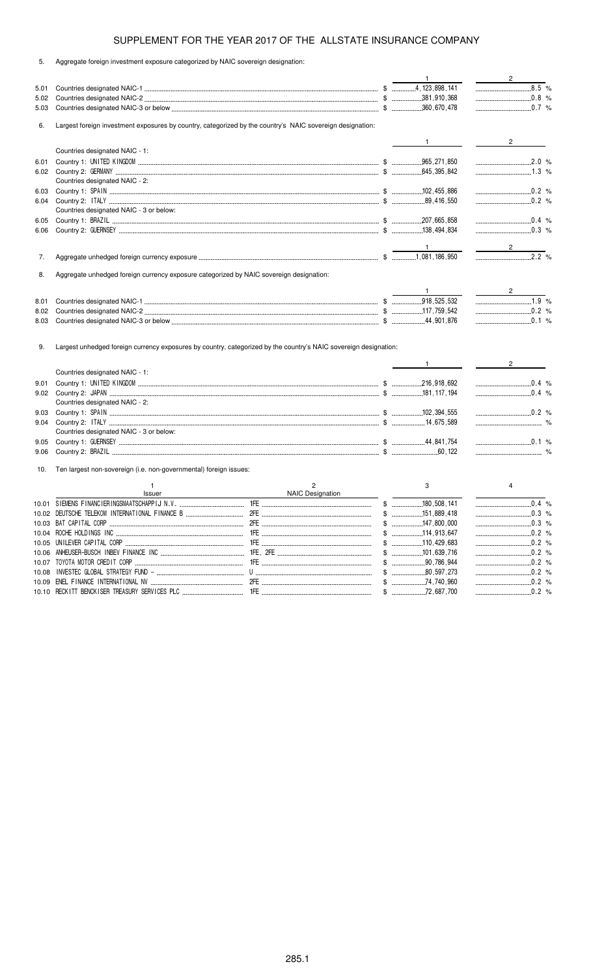| ົບ. | Aggregate foreign investment exposure categorized by NAIC sovereign designation: |  |  |
|-----|----------------------------------------------------------------------------------|--|--|
|     |                                                                                  |  |  |

|      |                                                                                                                                                    |                                           | $\mathbf{1}$ | $\overline{2}$ |
|------|----------------------------------------------------------------------------------------------------------------------------------------------------|-------------------------------------------|--------------|----------------|
| 5.01 |                                                                                                                                                    |                                           |              | 3.5 %          |
| 5.02 |                                                                                                                                                    |                                           |              | $\ldots$ 0.8 % |
| 5.03 |                                                                                                                                                    |                                           |              |                |
| 6.   | Largest foreign investment exposures by country, categorized by the country's NAIC sovereign designation:                                          |                                           |              |                |
|      |                                                                                                                                                    |                                           |              | $2^{\circ}$    |
|      | Countries designated NAIC - 1:                                                                                                                     |                                           |              |                |
| 6.01 |                                                                                                                                                    |                                           |              | 2.0 %          |
|      |                                                                                                                                                    |                                           |              | $1.3\%$        |
|      | Countries designated NAIC - 2:                                                                                                                     |                                           |              |                |
| 6.03 |                                                                                                                                                    |                                           |              | 0.2 %          |
| 6.04 |                                                                                                                                                    |                                           |              |                |
|      | Countries designated NAIC - 3 or below:                                                                                                            |                                           |              |                |
| 6.05 |                                                                                                                                                    |                                           |              | $\ldots$ 0.4 % |
| 6.06 |                                                                                                                                                    |                                           |              | $\ldots$ 0.3 % |
|      |                                                                                                                                                    |                                           |              |                |
|      |                                                                                                                                                    |                                           |              |                |
| 7.   |                                                                                                                                                    |                                           |              | $2.2\%$        |
| 8.   | Aggregate unhedged foreign currency exposure categorized by NAIC sovereign designation:                                                            |                                           |              |                |
|      |                                                                                                                                                    |                                           |              |                |
|      |                                                                                                                                                    |                                           | $\mathbf{1}$ | $\overline{2}$ |
| 8.01 |                                                                                                                                                    |                                           |              | 1.9 %          |
| 8.02 |                                                                                                                                                    |                                           |              | $0.2\%$        |
| 8.03 |                                                                                                                                                    |                                           |              | $\ldots$ 0.1 % |
| 9.   | Largest unhedged foreign currency exposures by country, categorized by the country's NAIC sovereign designation:<br>Countries designated NAIC - 1: |                                           |              | $2^{\circ}$    |
|      |                                                                                                                                                    |                                           |              | $\ldots$ 0.4 % |
| 9.01 |                                                                                                                                                    |                                           |              | $0.4\%$        |
|      | Countries designated NAIC - 2:                                                                                                                     |                                           |              |                |
| 9.03 |                                                                                                                                                    |                                           |              | $\ldots$ 0.2 % |
| 9.04 |                                                                                                                                                    |                                           |              |                |
|      | Countries designated NAIC - 3 or below:                                                                                                            |                                           |              |                |
| 9.05 |                                                                                                                                                    |                                           |              |                |
| 9.06 |                                                                                                                                                    |                                           |              |                |
| 10.  | Ten largest non-sovereign (i.e. non-governmental) foreign issues:                                                                                  |                                           |              |                |
|      |                                                                                                                                                    |                                           |              |                |
|      | $\mathbf{1}$<br>Issuer                                                                                                                             | $\overline{2}$<br><b>NAIC Designation</b> | 3            | $\overline{4}$ |
|      |                                                                                                                                                    |                                           |              | $\ldots$ 0.4 % |
|      |                                                                                                                                                    |                                           |              | $0.3\%$        |
|      |                                                                                                                                                    |                                           |              |                |
|      |                                                                                                                                                    |                                           |              |                |
|      |                                                                                                                                                    |                                           |              |                |
|      |                                                                                                                                                    |                                           |              |                |
|      |                                                                                                                                                    |                                           |              |                |
|      |                                                                                                                                                    |                                           |              | $\ldots$ 0.2 % |
|      |                                                                                                                                                    |                                           |              | $\ldots$ 0.2 % |
|      |                                                                                                                                                    |                                           |              | $\ldots$ 0.2 % |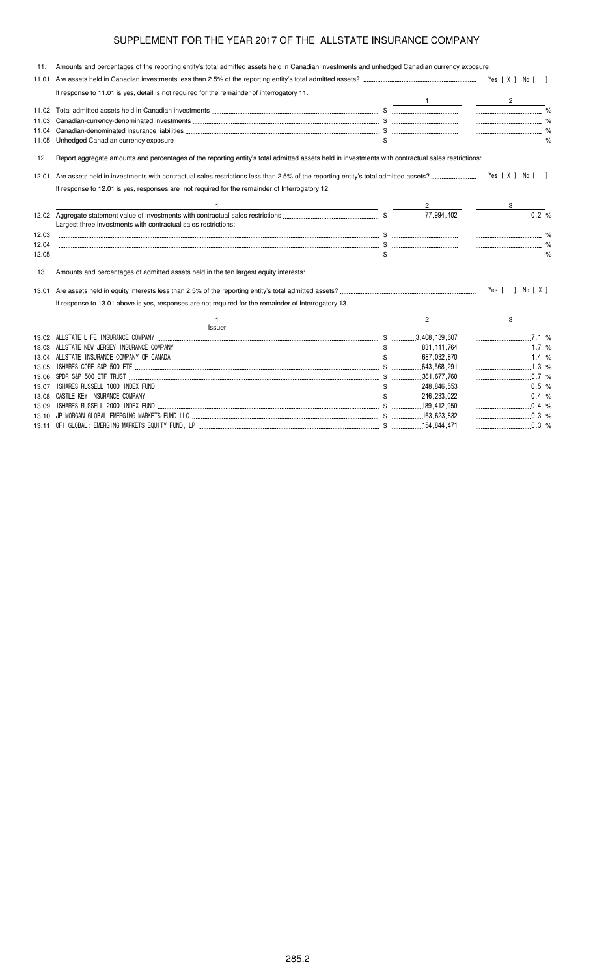| 11.   | Amounts and percentages of the reporting entity's total admitted assets held in Canadian investments and unhedged Canadian currency exposure:     |                |                                |  |
|-------|---------------------------------------------------------------------------------------------------------------------------------------------------|----------------|--------------------------------|--|
| 11.01 |                                                                                                                                                   |                |                                |  |
|       | If response to 11.01 is yes, detail is not required for the remainder of interrogatory 11.                                                        |                |                                |  |
|       |                                                                                                                                                   |                | $2 \left( \frac{1}{2} \right)$ |  |
|       |                                                                                                                                                   |                |                                |  |
| 11.03 |                                                                                                                                                   |                |                                |  |
| 11.04 |                                                                                                                                                   |                |                                |  |
| 11.05 |                                                                                                                                                   |                |                                |  |
| 12.   | Report aggregate amounts and percentages of the reporting entity's total admitted assets held in investments with contractual sales restrictions: |                |                                |  |
| 12.01 |                                                                                                                                                   |                | Yes [ X ] No [ ]               |  |
|       | If response to 12.01 is yes, responses are not required for the remainder of Interrogatory 12.                                                    |                |                                |  |
|       | <u> 1989 - Jan Samuel Barbara, martin da shekara 1980 - An tsara 1980 - An tsara 1980 - An tsara 1980 - An tsara</u>                              |                |                                |  |
|       | Largest three investments with contractual sales restrictions:                                                                                    |                | 0.2 %                          |  |
| 12.03 |                                                                                                                                                   |                |                                |  |
| 12.04 |                                                                                                                                                   |                |                                |  |
| 12.05 |                                                                                                                                                   |                |                                |  |
| 13.   | Amounts and percentages of admitted assets held in the ten largest equity interests:                                                              |                |                                |  |
|       |                                                                                                                                                   |                | Yes [ ] No [ X ]               |  |
|       | If response to 13.01 above is yes, responses are not required for the remainder of Interrogatory 13.                                              |                |                                |  |
|       | Issuer                                                                                                                                            | $\overline{2}$ | 3                              |  |
|       |                                                                                                                                                   |                | $\overline{7.1}$ %             |  |
|       |                                                                                                                                                   |                | $\ldots$ 1.7 %                 |  |
|       |                                                                                                                                                   |                | $1.4\%$                        |  |
| 13.05 |                                                                                                                                                   |                |                                |  |
| 13.06 |                                                                                                                                                   |                |                                |  |
| 13.07 |                                                                                                                                                   |                | $\ldots$ 0.5 %                 |  |
|       |                                                                                                                                                   |                | $\ldots$ 0.4 %                 |  |
| 13.09 |                                                                                                                                                   |                | $\ldots$ 0.4 %                 |  |
|       |                                                                                                                                                   |                | $\ldots$ 0.3 %                 |  |

13.11 OFI GLOBAL: EMERGING MARKETS EQUITY FUND, LP \$ 154,844,471 0.3 %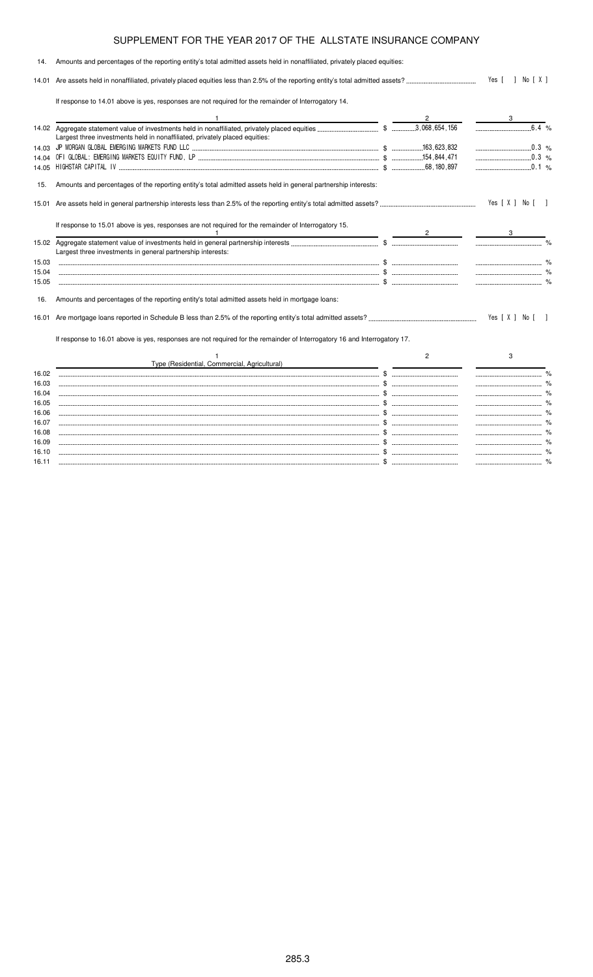| 14.   | Amounts and percentages of the reporting entity's total admitted assets held in nonaffiliated, privately placed equities: |                |                  |  |
|-------|---------------------------------------------------------------------------------------------------------------------------|----------------|------------------|--|
|       |                                                                                                                           |                | Yes [ ] No [ X ] |  |
|       | If response to 14.01 above is yes, responses are not required for the remainder of Interrogatory 14.                      |                |                  |  |
|       |                                                                                                                           | 2              |                  |  |
|       | Largest three investments held in nonaffiliated, privately placed equities:                                               |                |                  |  |
|       |                                                                                                                           |                |                  |  |
|       |                                                                                                                           |                |                  |  |
|       |                                                                                                                           |                | $\ldots$ 0.1 %   |  |
| 15.   | Amounts and percentages of the reporting entity's total admitted assets held in general partnership interests:            |                |                  |  |
| 15.01 |                                                                                                                           |                | Yes [ X ] No [ ] |  |
|       | If response to 15.01 above is yes, responses are not required for the remainder of Interrogatory 15.                      |                |                  |  |
|       | Largest three investments in general partnership interests:                                                               |                |                  |  |
| 15.03 |                                                                                                                           |                |                  |  |
| 15.04 |                                                                                                                           |                |                  |  |
| 15.05 |                                                                                                                           |                |                  |  |
| 16.   | Amounts and percentages of the reporting entity's total admitted assets held in mortgage loans:                           |                |                  |  |
| 16.01 |                                                                                                                           |                | Yes [ X ] No [ ] |  |
|       | If response to 16.01 above is yes, responses are not required for the remainder of Interrogatory 16 and Interrogatory 17. |                |                  |  |
|       | Type (Residential, Commercial, Agricultural)                                                                              | $\overline{2}$ | 3                |  |
| 16.02 |                                                                                                                           |                |                  |  |
| 16.03 |                                                                                                                           |                |                  |  |
| 16.04 |                                                                                                                           |                |                  |  |
| 16.05 |                                                                                                                           |                |                  |  |
| 16.06 |                                                                                                                           |                |                  |  |
| 16.07 |                                                                                                                           |                |                  |  |
| 16.08 |                                                                                                                           |                |                  |  |

16.09 \$ % 16.10 \$ % 16.11 \$ %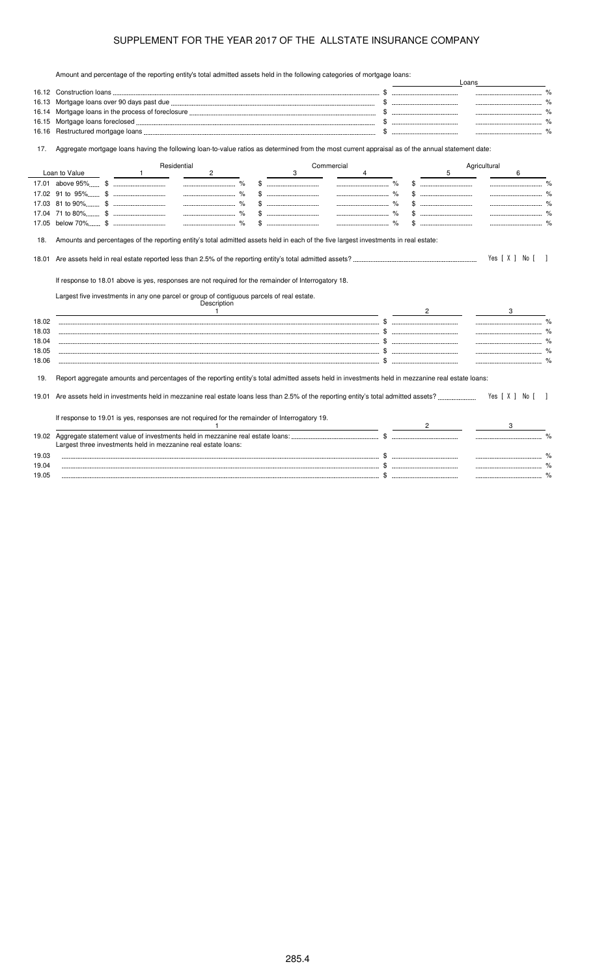Amount and percentage of the reporting entity's total admitted assets held in the following categories of mortgage loans:

|                | Amount and percentage of the reporting entity's total admitted assets held in the ionowing categories of mongage loans.                           |      |        |   | Loans            |               |  |
|----------------|---------------------------------------------------------------------------------------------------------------------------------------------------|------|--------|---|------------------|---------------|--|
|                |                                                                                                                                                   |      |        |   |                  |               |  |
| 16.13          |                                                                                                                                                   |      |        |   |                  |               |  |
| 16.14          |                                                                                                                                                   |      |        |   |                  |               |  |
| 16.15          |                                                                                                                                                   |      |        |   |                  |               |  |
| 16.16          |                                                                                                                                                   |      |        |   |                  |               |  |
| 17.            | Aggregate mortgage loans having the following loan-to-value ratios as determined from the most current appraisal as of the annual statement date: |      |        |   |                  |               |  |
|                | Residential<br>Commercial                                                                                                                         |      |        |   | Agricultural     |               |  |
|                | Loan to Value<br>$\overline{c}$<br>3<br>$\mathbf{1}$<br>4                                                                                         |      |        | 5 | 6                |               |  |
|                |                                                                                                                                                   | $\%$ |        |   |                  |               |  |
|                | 17.02 91 to 95% \$                                                                                                                                |      |        |   |                  |               |  |
|                |                                                                                                                                                   |      |        |   |                  |               |  |
|                |                                                                                                                                                   |      |        |   |                  |               |  |
|                |                                                                                                                                                   |      |        |   |                  |               |  |
| 18.            | Amounts and percentages of the reporting entity's total admitted assets held in each of the five largest investments in real estate:              |      |        |   | Yes [ X ] No [ ] |               |  |
|                | If response to 18.01 above is yes, responses are not required for the remainder of Interrogatory 18.                                              |      |        |   |                  |               |  |
|                | Largest five investments in any one parcel or group of contiguous parcels of real estate.<br>Description<br>$\mathbf{1}$                          |      | $^{2}$ |   |                  |               |  |
| 18.02          |                                                                                                                                                   |      |        |   |                  | $\frac{9}{6}$ |  |
| 18.03          | $\ldots$ . So a set of the set of the set of the set of the set of the set of the set of the set of the set of $\ddot{\bm{x}}$                    |      |        |   |                  |               |  |
| 18.04          |                                                                                                                                                   |      |        |   |                  |               |  |
| 18.05          |                                                                                                                                                   |      |        |   |                  |               |  |
| 18.06          |                                                                                                                                                   |      |        |   |                  |               |  |
|                |                                                                                                                                                   |      |        |   |                  |               |  |
| 19.            | Report aggregate amounts and percentages of the reporting entity's total admitted assets held in investments held in mezzanine real estate loans: |      |        |   |                  |               |  |
| 19.01          |                                                                                                                                                   |      |        |   | Yes [X ] No [ ]  |               |  |
|                | If response to 19.01 is yes, responses are not required for the remainder of Interrogatory 19.                                                    |      |        |   |                  |               |  |
|                |                                                                                                                                                   |      |        |   |                  |               |  |
|                | Largest three investments held in mezzanine real estate loans:                                                                                    |      |        |   |                  |               |  |
| 19.03          |                                                                                                                                                   |      |        |   |                  |               |  |
|                |                                                                                                                                                   |      |        |   |                  |               |  |
|                |                                                                                                                                                   |      |        |   |                  |               |  |
| 19.04<br>19.05 |                                                                                                                                                   |      |        |   |                  | %             |  |